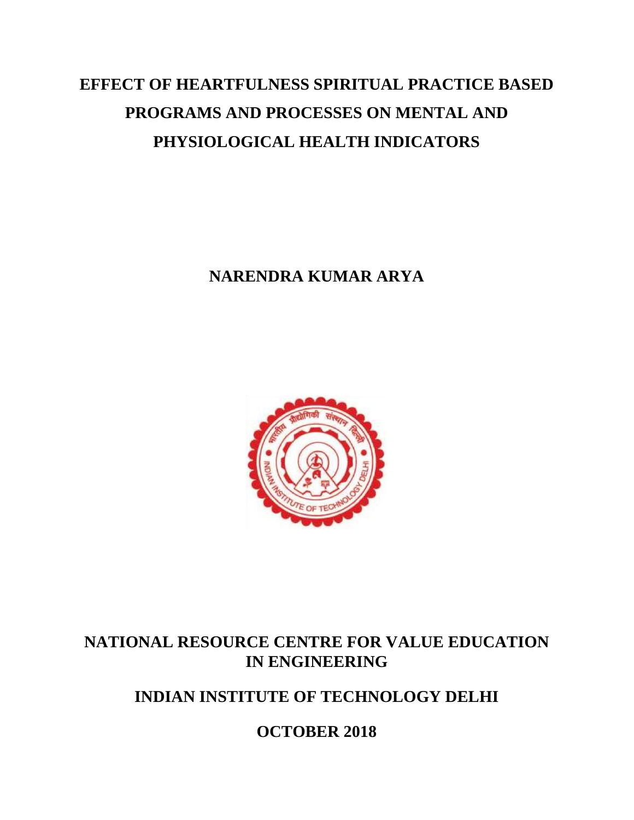# **EFFECT OF HEARTFULNESS SPIRITUAL PRACTICE BASED PROGRAMS AND PROCESSES ON MENTAL AND PHYSIOLOGICAL HEALTH INDICATORS**

**NARENDRA KUMAR ARYA**



### **NATIONAL RESOURCE CENTRE FOR VALUE EDUCATION IN ENGINEERING**

**INDIAN INSTITUTE OF TECHNOLOGY DELHI**

**OCTOBER 2018**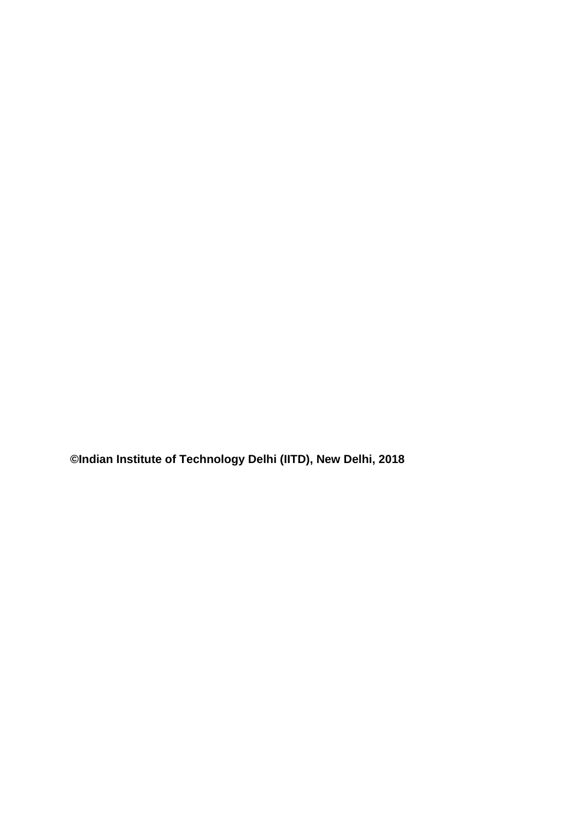**©Indian Institute of Technology Delhi (IITD), New Delhi, 2018**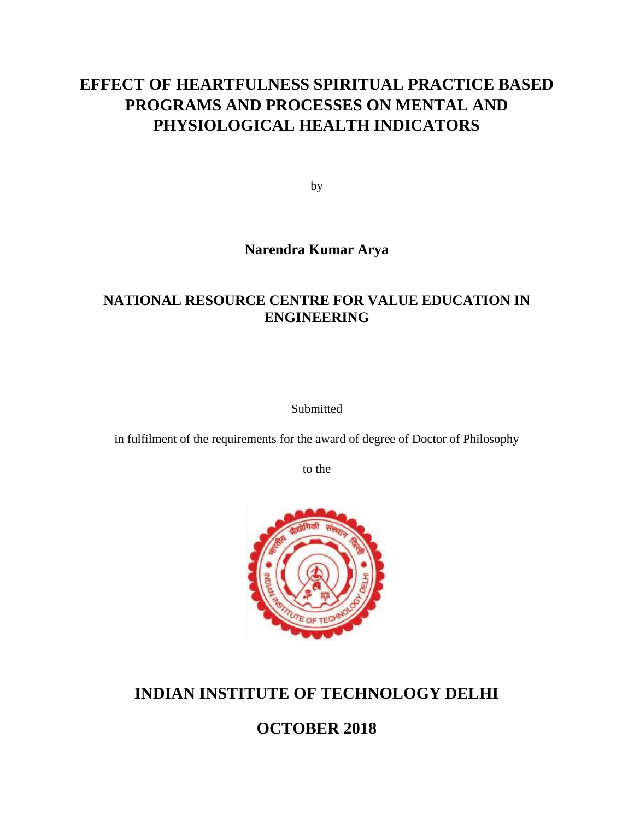### **EFFECT OF HEARTFULNESS SPIRITUAL PRACTICE BASED PROGRAMS AND PROCESSES ON MENTAL AND PHYSIOLOGICAL HEALTH INDICATORS**

by

#### **Narendra Kumar Arya**

#### **NATIONAL RESOURCE CENTRE FOR VALUE EDUCATION IN ENGINEERING**

Submitted

in fulfilment of the requirements for the award of degree of Doctor of Philosophy

to the



### **INDIAN INSTITUTE OF TECHNOLOGY DELHI**

**OCTOBER 2018**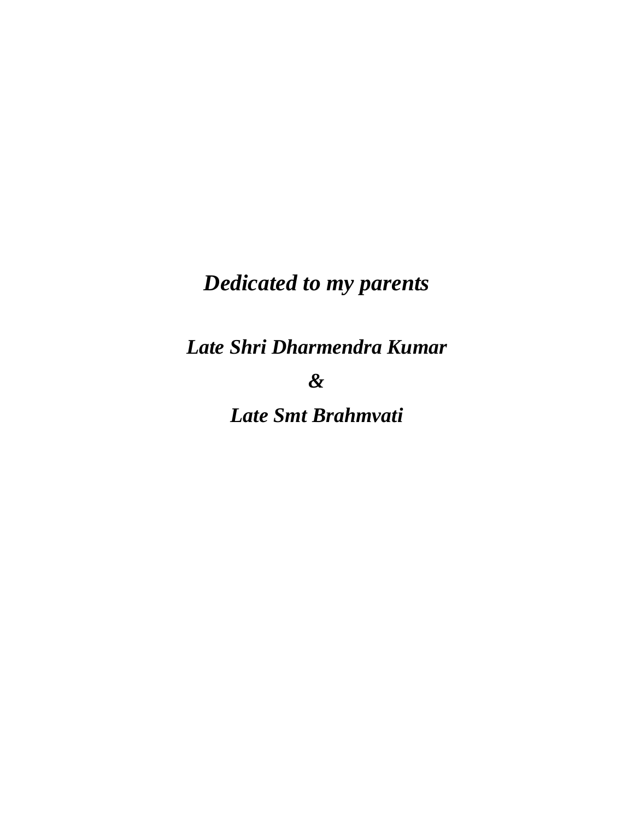# *Dedicated to my parents*

*Late Shri Dharmendra Kumar* 

*&* 

*Late Smt Brahmvati*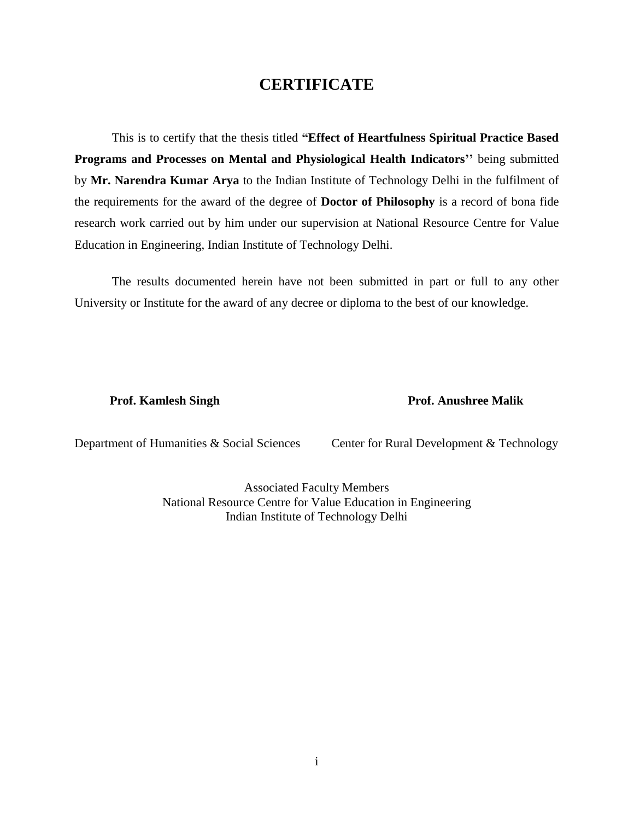#### **CERTIFICATE**

<span id="page-4-0"></span>This is to certify that the thesis titled **"Effect of Heartfulness Spiritual Practice Based Programs and Processes on Mental and Physiological Health Indicators''** being submitted by **Mr. Narendra Kumar Arya** to the Indian Institute of Technology Delhi in the fulfilment of the requirements for the award of the degree of **Doctor of Philosophy** is a record of bona fide research work carried out by him under our supervision at National Resource Centre for Value Education in Engineering, Indian Institute of Technology Delhi.

The results documented herein have not been submitted in part or full to any other University or Institute for the award of any decree or diploma to the best of our knowledge.

**Prof. Kamlesh Singh Prof. Anushree Malik**

Department of Humanities & Social Sciences Center for Rural Development & Technology

Associated Faculty Members National Resource Centre for Value Education in Engineering Indian Institute of Technology Delhi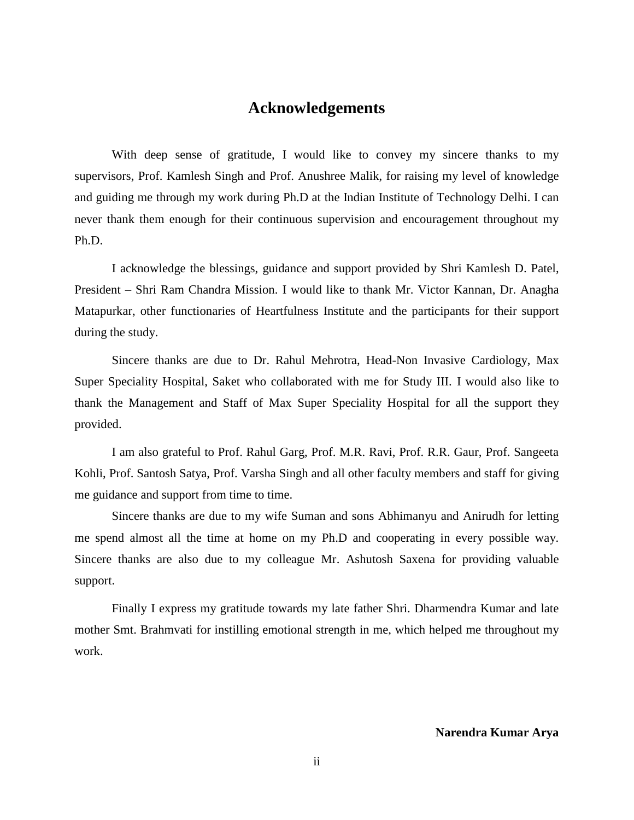#### **Acknowledgements**

<span id="page-5-0"></span>With deep sense of gratitude, I would like to convey my sincere thanks to my supervisors, Prof. Kamlesh Singh and Prof. Anushree Malik, for raising my level of knowledge and guiding me through my work during Ph.D at the Indian Institute of Technology Delhi. I can never thank them enough for their continuous supervision and encouragement throughout my Ph.D.

I acknowledge the blessings, guidance and support provided by Shri Kamlesh D. Patel, President – Shri Ram Chandra Mission. I would like to thank Mr. Victor Kannan, Dr. Anagha Matapurkar, other functionaries of Heartfulness Institute and the participants for their support during the study.

Sincere thanks are due to Dr. Rahul Mehrotra, Head-Non Invasive Cardiology, Max Super Speciality Hospital, Saket who collaborated with me for Study III. I would also like to thank the Management and Staff of Max Super Speciality Hospital for all the support they provided.

I am also grateful to Prof. Rahul Garg, Prof. M.R. Ravi, Prof. R.R. Gaur, Prof. Sangeeta Kohli, Prof. Santosh Satya, Prof. Varsha Singh and all other faculty members and staff for giving me guidance and support from time to time.

Sincere thanks are due to my wife Suman and sons Abhimanyu and Anirudh for letting me spend almost all the time at home on my Ph.D and cooperating in every possible way. Sincere thanks are also due to my colleague Mr. Ashutosh Saxena for providing valuable support.

Finally I express my gratitude towards my late father Shri. Dharmendra Kumar and late mother Smt. Brahmvati for instilling emotional strength in me, which helped me throughout my work.

**Narendra Kumar Arya**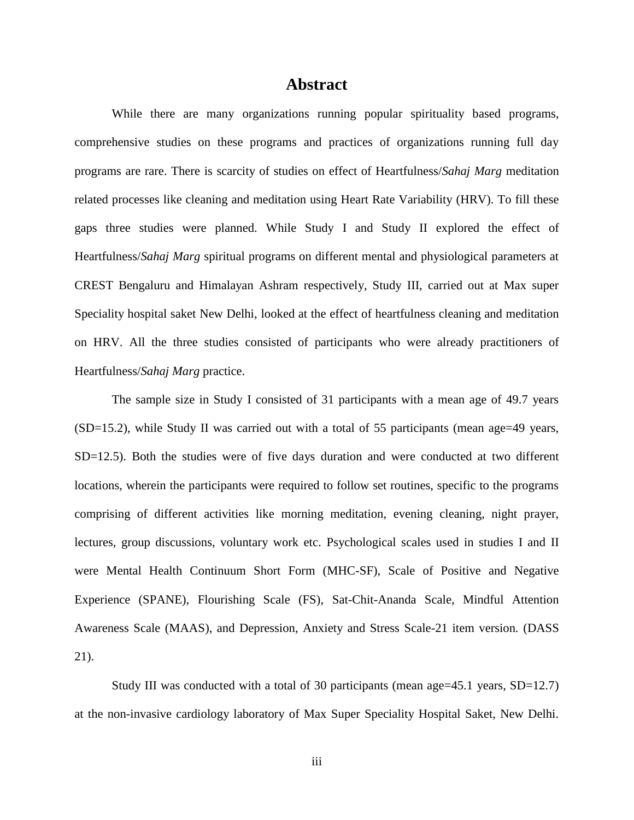#### **Abstract**

<span id="page-6-0"></span>While there are many organizations running popular spirituality based programs, comprehensive studies on these programs and practices of organizations running full day programs are rare. There is scarcity of studies on effect of Heartfulness/*Sahaj Marg* meditation related processes like cleaning and meditation using Heart Rate Variability (HRV). To fill these gaps three studies were planned. While Study I and Study II explored the effect of Heartfulness/*Sahaj Marg* spiritual programs on different mental and physiological parameters at CREST Bengaluru and Himalayan Ashram respectively, Study III, carried out at Max super Speciality hospital saket New Delhi, looked at the effect of heartfulness cleaning and meditation on HRV. All the three studies consisted of participants who were already practitioners of Heartfulness/*Sahaj Marg* practice.

The sample size in Study I consisted of 31 participants with a mean age of 49.7 years (SD=15.2), while Study II was carried out with a total of 55 participants (mean age=49 years, SD=12.5). Both the studies were of five days duration and were conducted at two different locations, wherein the participants were required to follow set routines, specific to the programs comprising of different activities like morning meditation, evening cleaning, night prayer, lectures, group discussions, voluntary work etc. Psychological scales used in studies I and II were Mental Health Continuum Short Form (MHC-SF), Scale of Positive and Negative Experience (SPANE), Flourishing Scale (FS), Sat-Chit-Ananda Scale, Mindful Attention Awareness Scale (MAAS), and Depression, Anxiety and Stress Scale-21 item version*.* (DASS 21).

Study III was conducted with a total of 30 participants (mean age  $=45.1$  years, SD=12.7) at the non-invasive cardiology laboratory of Max Super Speciality Hospital Saket, New Delhi.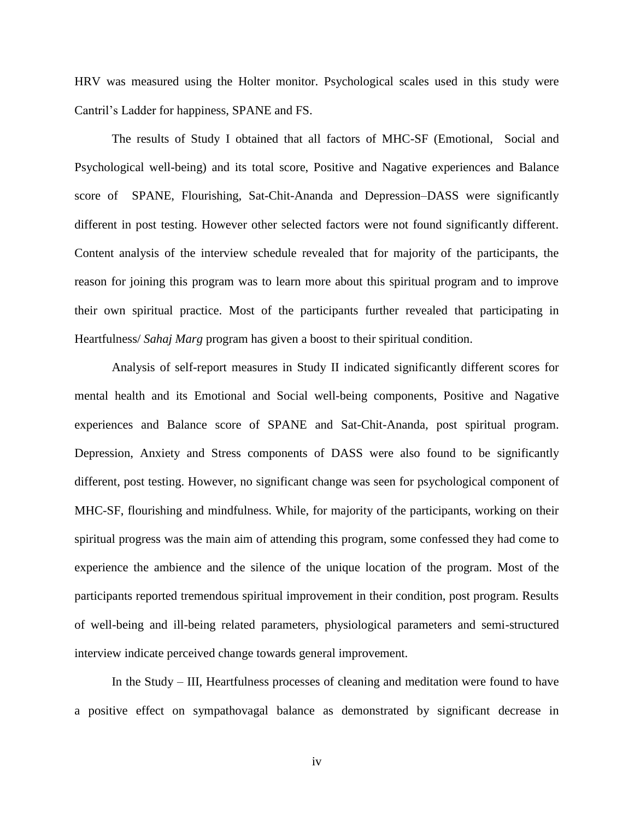HRV was measured using the Holter monitor. Psychological scales used in this study were Cantril's Ladder for happiness, SPANE and FS.

The results of Study I obtained that all factors of MHC-SF (Emotional, Social and Psychological well-being) and its total score, Positive and Nagative experiences and Balance score of SPANE, Flourishing, Sat-Chit-Ananda and Depression–DASS were significantly different in post testing. However other selected factors were not found significantly different. Content analysis of the interview schedule revealed that for majority of the participants, the reason for joining this program was to learn more about this spiritual program and to improve their own spiritual practice. Most of the participants further revealed that participating in Heartfulness/ *Sahaj Marg* program has given a boost to their spiritual condition.

Analysis of self-report measures in Study II indicated significantly different scores for mental health and its Emotional and Social well-being components, Positive and Nagative experiences and Balance score of SPANE and Sat-Chit-Ananda*,* post spiritual program. Depression, Anxiety and Stress components of DASS were also found to be significantly different, post testing. However, no significant change was seen for psychological component of MHC-SF, flourishing and mindfulness. While, for majority of the participants, working on their spiritual progress was the main aim of attending this program, some confessed they had come to experience the ambience and the silence of the unique location of the program. Most of the participants reported tremendous spiritual improvement in their condition, post program. Results of well-being and ill-being related parameters, physiological parameters and semi-structured interview indicate perceived change towards general improvement.

In the Study – III, Heartfulness processes of cleaning and meditation were found to have a positive effect on sympathovagal balance as demonstrated by significant decrease in

iv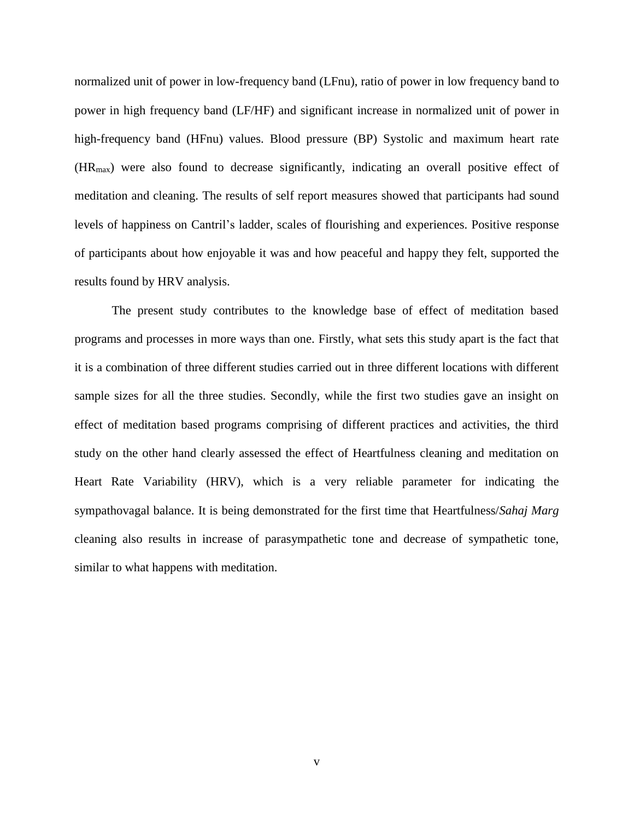normalized unit of power in low-frequency band (LFnu), ratio of power in low frequency band to power in high frequency band (LF/HF) and significant increase in normalized unit of power in high-frequency band (HFnu) values. Blood pressure (BP) Systolic and maximum heart rate (HRmax) were also found to decrease significantly, indicating an overall positive effect of meditation and cleaning. The results of self report measures showed that participants had sound levels of happiness on Cantril's ladder, scales of flourishing and experiences. Positive response of participants about how enjoyable it was and how peaceful and happy they felt, supported the results found by HRV analysis.

The present study contributes to the knowledge base of effect of meditation based programs and processes in more ways than one. Firstly, what sets this study apart is the fact that it is a combination of three different studies carried out in three different locations with different sample sizes for all the three studies. Secondly, while the first two studies gave an insight on effect of meditation based programs comprising of different practices and activities, the third study on the other hand clearly assessed the effect of Heartfulness cleaning and meditation on Heart Rate Variability (HRV), which is a very reliable parameter for indicating the sympathovagal balance. It is being demonstrated for the first time that Heartfulness/*Sahaj Marg* cleaning also results in increase of parasympathetic tone and decrease of sympathetic tone, similar to what happens with meditation.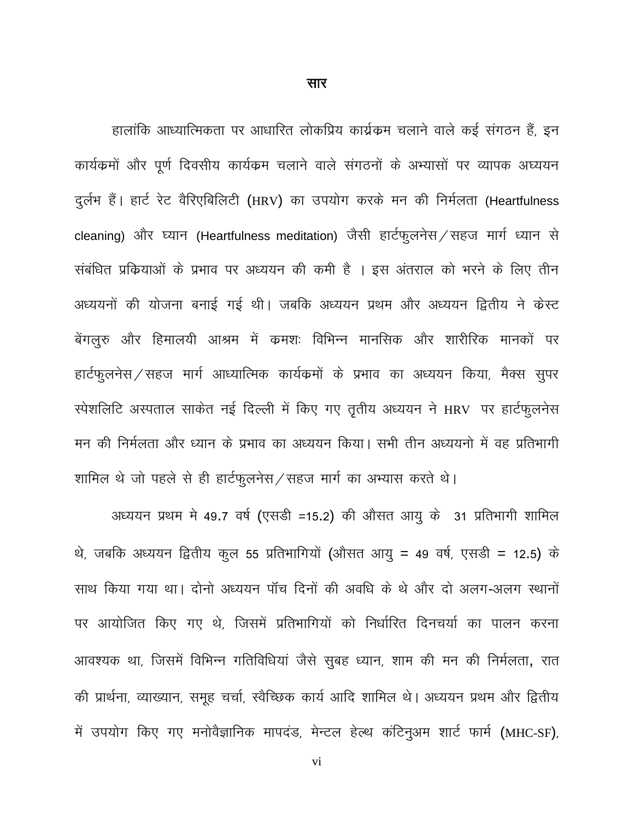सार

<span id="page-9-0"></span>हालांकि आध्यात्मिकता पर आधारित लोकप्रिय कार्य्रकम चलाने वाले कई संगठन हैं, इन कार्यक्रमों और पूर्ण दिवसीय कार्यक्रम चलाने वाले संगठनों के अभ्यासों पर व्यापक अध्ययन दुर्लभ हैं। हार्ट रेट वैरिएबिलिटी (HRV) का उपयोग करके मन की निर्मलता (Heartfulness cleaning) और घ्यान (Heartfulness meditation) जैसी हार्टफुलनेस / सहज मार्ग ध्यान से संबंधित प्रकियाओं के प्रभाव पर अध्ययन की कमी है । इस अंतराल को भरने के लिए तीन अध्ययनों की योजना बनाई गई थी। जबकि अध्ययन प्रथम और अध्ययन द्वितीय ने केस्ट बेंगलुरु और हिमालयी आश्रम में कमशः विभिन्न मानसिक और शारीरिक मानकों पर हार्टफुलनेस / सहज मार्ग आध्यात्मिक कार्यक्रमों के प्रभाव का अध्ययन किया, मैक्स सुपर स्पेशलिटि अस्पताल साकेत नई दिल्ली में किए गए तृतीय अध्ययन ने HRV पर हार्टफुलनेस मन की निर्मलता और ध्यान के प्रभाव का अध्ययन किया। सभी तीन अध्ययनो में वह प्रतिभागी शामिल थे जो पहले से ही हार्टफुलनेस/सहज मार्ग का अभ्यास करते थे।

अध्ययन प्रथम मे 49.7 वर्ष (एसडी =15.2) की औसत आयु के 31 प्रतिभागी शामिल थे, जबकि अध्ययन द्वितीय कुल 55 प्रतिभागियों (औसत आयु = 49 वर्ष, एसडी = 12.5) के साथ किया गया था। दोनो अध्ययन पॉच दिनों की अवधि के थे और दो अलग-अलग स्थानों पर आयोजित किए गए थे, जिसमें प्रतिभागियों को निर्धारित दिनचर्या का पालन करना आवश्यक था, जिसमें विभिन्न गतिविधियां जैसे सुबह ध्यान, शाम की मन की निर्मलता, रात की प्रार्थना, व्याख्यान, समूह चर्चा, स्वैच्छिक कार्य आदि शामिल थे। अध्ययन प्रथम और द्वितीय में उपयोग किए गए मनोवैज्ञानिक मापदंड, मेन्टल हेल्थ कंटिनुअम शार्ट फार्म (MHC-SF),

vi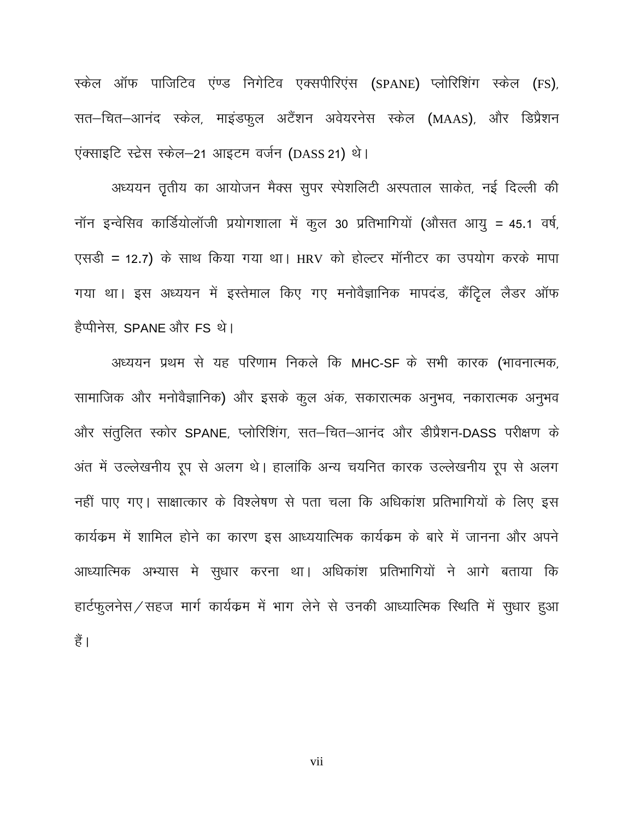स्केल ऑफ पाजिटिव एंण्ड निगेटिव एक्सपीरिएंस (SPANE) प्लोरिशिंग स्केल (FS), सत–चित–आनंद स्केल, माइंडफुल अटैंशन अवेयरनेस स्केल (MAAS), और डिप्रैशन एंक्साइटि स्ट्रेस स्केल-21 आइटम वर्जन (DASS 21) थे।

अध्ययन तृतीय का आयोजन मैक्स सुपर स्पेशलिटी अस्पताल साकेत, नई दिल्ली की नॉन इन्वेसिव कार्डियोलॉजी प्रयोगशाला में कूल 30 प्रतिभागियों (औसत आयु = 45.1 वर्ष, एसड़ी = 12.7) के साथ किया गया था। HRV को होल्टर मॉनीटर का उपयोग करके मापा गया था। इस अध्ययन में इस्तेमाल किए गए मनोवैज्ञानिक मापदंड, कैंट्रिल लैडर ऑफ हैप्पीनेस, SPANE और FS थे।

अध्ययन प्रथम से यह परिणाम निकले कि MHC-SF के सभी कारक (भावनात्मक, सामाजिक और मनोवैज्ञानिक) और इसके कूल अंक, सकारात्मक अनुभव, नकारात्मक अनुभव और संतुलित स्कोर SPANE, प्लोरिशिंग, सत–चित–आनंद और डीप्रैशन-DASS परीक्षण के अंत में उल्लेखनीय रूप से अलग थे। हालांकि अन्य चयनित कारक उल्लेखनीय रूप से अलग नहीं पाए गए। साक्षात्कार के विश्लेषण से पता चला कि अधिकांश प्रतिभागियों के लिए इस कार्यकम में शामिल होने का कारण इस आध्ययात्मिक कार्यक्रम के बारे में जानना और अपने आध्यात्मिक अभ्यास मे सुधार करना था। अधिकांश प्रतिभागियों ने आगे बताया कि हार्टफुलनेस / सहज मार्ग कार्यक्रम में भाग लेने से उनकी आध्यात्मिक स्थिति में सुधार हुआ हैं |

vii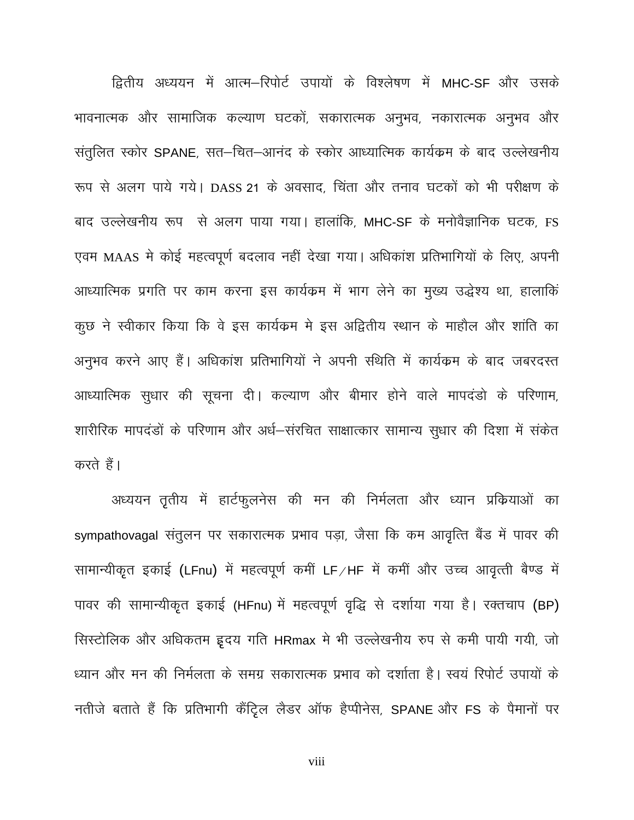द्वितीय अध्ययन में आत्म-रिपोर्ट उपायों के विश्लेषण में MHC-SF और उसके भावनात्मक और सामाजिक कल्याण घटकों, सकारात्मक अनुभव, नकारात्मक अनुभव और संतुलित स्कोर SPANE, सत-चित-आनंद के स्कोर आध्यात्मिक कार्यक्रम के बाद उल्लेखनीय रूप से अलग पाये गये। DASS 21 के अवसाद, चिंता और तनाव घटकों को भी परीक्षण के बाद उल्लेखनीय रूप से अलग पाया गया। हालांकि, MHC-SF के मनोवैज्ञानिक घटक, FS एवम MAAS मे कोई महत्वपूर्ण बदलाव नहीं देखा गया। अधिकांश प्रतिभागियों के लिए, अपनी आध्यात्मिक प्रगति पर काम करना इस कार्यक्रम में भाग लेने का मुख्य उद्धेश्य था, हालाकिं कूछ ने स्वीकार किया कि वे इस कार्यक्रम मे इस अद्वितीय स्थान के माहौल और शांति का अनुभव करने आए हैं। अधिकांश प्रतिभागियों ने अपनी स्थिति में कार्यक्रम के बाद जबरदस्त आध्यात्मिक सुधार की सूचना दी। कल्याण और बीमार होने वाले मापदंडो के परिणाम, शारीरिक मापदंडों के परिणाम और अर्ध-संरचित साक्षात्कार सामान्य सुधार की दिशा में संकेत करते हैं।

अध्ययन तृतीय में हार्टफुलनेस की मन की निर्मलता और ध्यान प्रकियाओं का sympathovagal संतुलन पर सकारात्मक प्रभाव पड़ा, जैसा कि कम आवृत्ति बैंड में पावर की सामान्यीकृत इकाई (LFnu) में महत्वपूर्ण कमीं LF/HF में कमीं और उच्च आवृत्ती बैण्ड में पावर की सामान्यीकृत इकाई (HFnu) में महत्वपूर्ण वृद्धि से दर्शाया गया है। रक्तचाप (BP) सिस्टोलिक और अधिकतम इ़दय गति HRmax मे भी उल्लेखनीय रुप से कमी पायी गयी, जो ध्यान और मन की निर्मलता के समग्र सकारात्मक प्रभाव को दर्शाता है। स्वयं रिपोर्ट उपायों के नतीजे बताते हैं कि प्रतिभागी कैंट्रिल लैडर ऑफ हैप्पीनेस, SPANE और FS के पैमानों पर

viii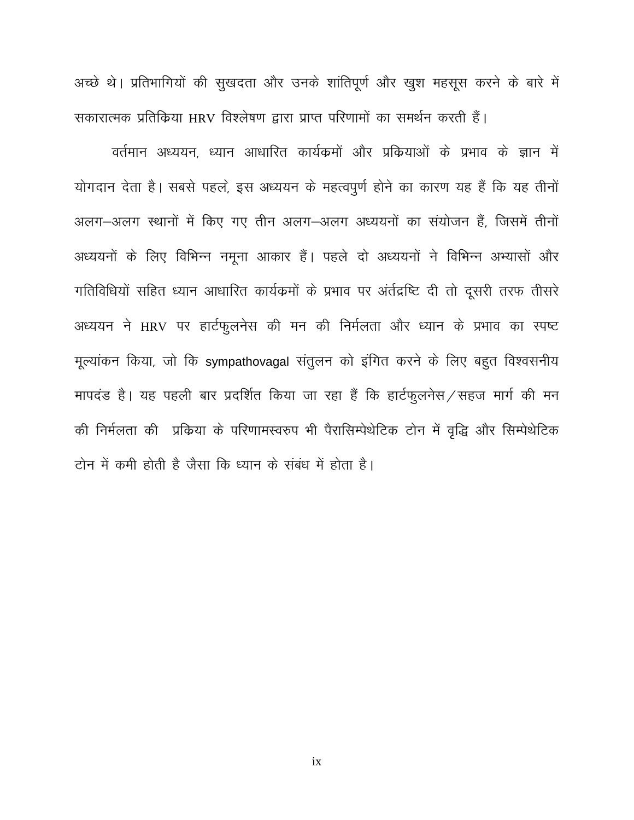अच्छे थे। प्रतिभागियों की सुखदता और उनके शांतिपूर्ण और खुश महसूस करने के बारे में सकारात्मक प्रतिकिया HRV विश्लेषण द्वारा प्राप्त परिणामों का समर्थन करती हैं।

वर्तमान अध्ययन, ध्यान आधारित कार्यक्रमों और प्रक्रियाओं के प्रभाव के ज्ञान में योगदान देता है। सबसे पहले, इस अध्ययन के महत्वपुर्ण होने का कारण यह हैं कि यह तीनों अलग-अलग स्थानों में किए गए तीन अलग-अलग अध्ययनों का संयोजन हैं, जिसमें तीनों अध्ययनों के लिए विभिन्न नमूना आकार हैं। पहले दो अध्ययनों ने विभिन्न अभ्यासों और गतिविधियों सहित ध्यान आधारित कार्यक्रमों के प्रभाव पर अंर्तद्रष्टि दी तो दूसरी तरफ तीसरे अध्ययन ने HRV पर हार्टफुलनेस की मन की निर्मलता और ध्यान के प्रभाव का स्पष्ट मूल्यांकन किया, जो कि sympathovagal संतुलन को इंगित करने के लिए बहुत विश्वसनीय मापदंड है। यह पहली बार प्रदर्शित किया जा रहा हैं कि हार्टफुलनेस/सहज मार्ग की मन की निर्मलता की प्रक्रिया के परिणामस्वरुप भी पैरासिम्पेथेटिक टोन में वृद्धि और सिम्पेथेटिक टोन में कमी होती है जैसा कि ध्यान के संबंध में होता है।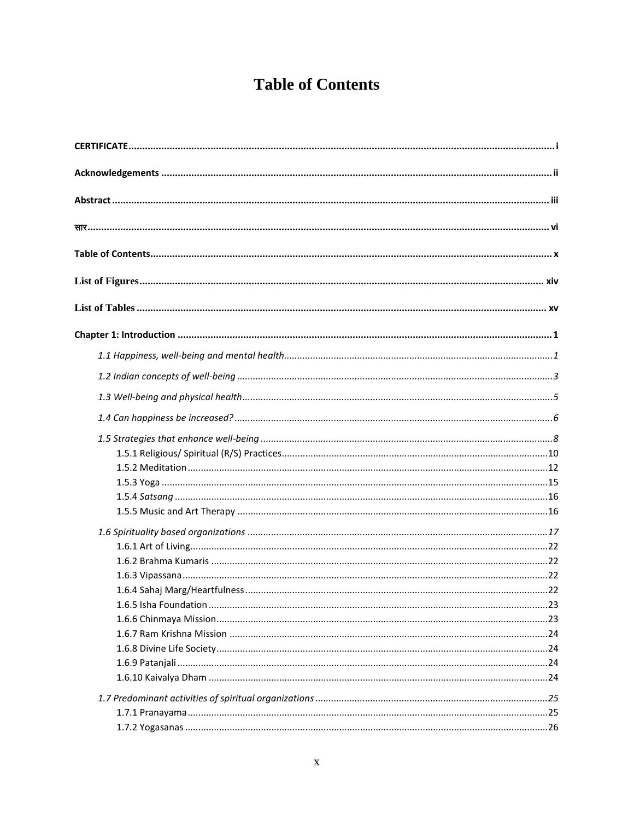## **Table of Contents**

<span id="page-13-0"></span>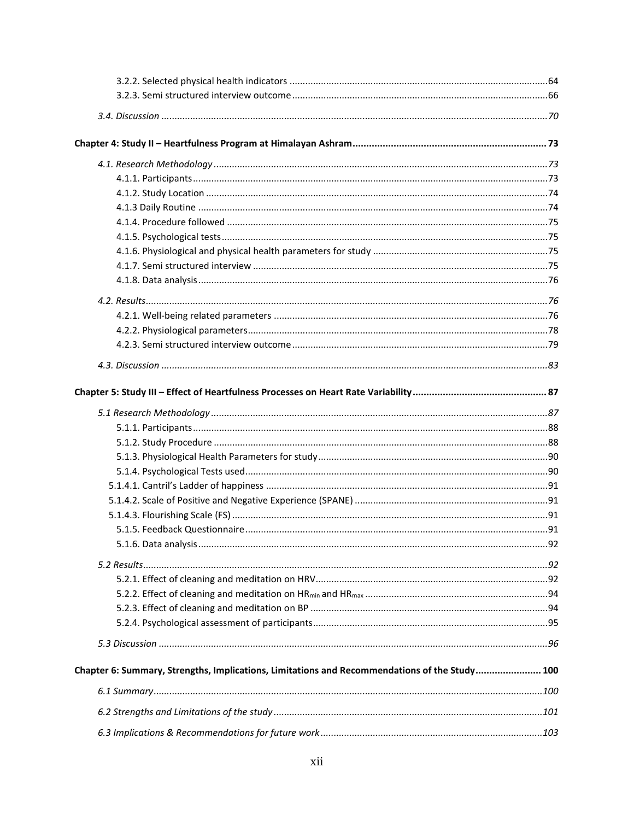| Chapter 6: Summary, Strengths, Implications, Limitations and Recommendations of the Study 100 |  |
|-----------------------------------------------------------------------------------------------|--|
|                                                                                               |  |
|                                                                                               |  |
|                                                                                               |  |
|                                                                                               |  |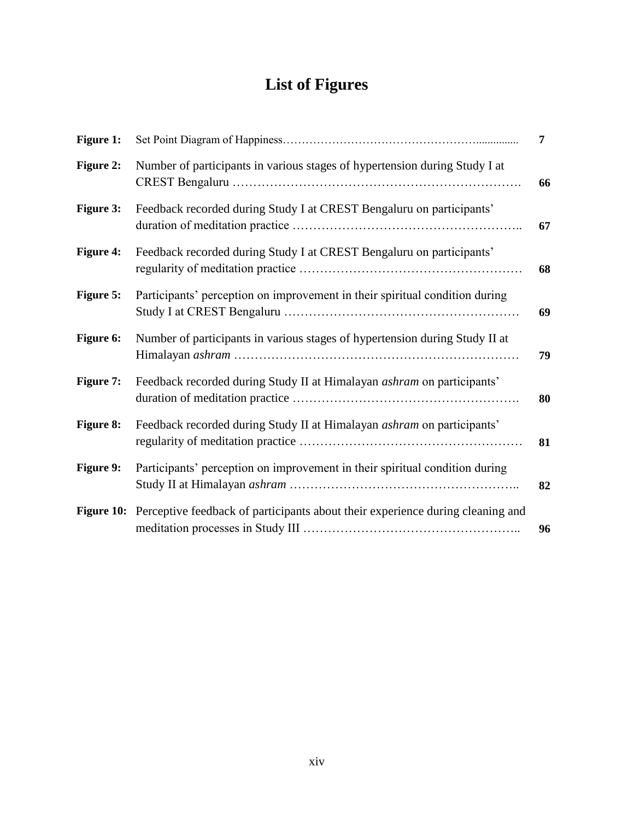# **List of Figures**

<span id="page-17-0"></span>

| Figure 1:        |                                                                                           | $\overline{7}$ |
|------------------|-------------------------------------------------------------------------------------------|----------------|
| <b>Figure 2:</b> | Number of participants in various stages of hypertension during Study I at                | 66             |
| <b>Figure 3:</b> | Feedback recorded during Study I at CREST Bengaluru on participants'                      | 67             |
| <b>Figure 4:</b> | Feedback recorded during Study I at CREST Bengaluru on participants'                      | 68             |
| <b>Figure 5:</b> | Participants' perception on improvement in their spiritual condition during               | 69             |
| Figure 6:        | Number of participants in various stages of hypertension during Study II at               | 79             |
| <b>Figure 7:</b> | Feedback recorded during Study II at Himalayan <i>ashram</i> on participants'             | 80             |
| <b>Figure 8:</b> | Feedback recorded during Study II at Himalayan <i>ashram</i> on participants'             | 81             |
| Figure 9:        | Participants' perception on improvement in their spiritual condition during               | 82             |
|                  | Figure 10: Perceptive feedback of participants about their experience during cleaning and | 96             |